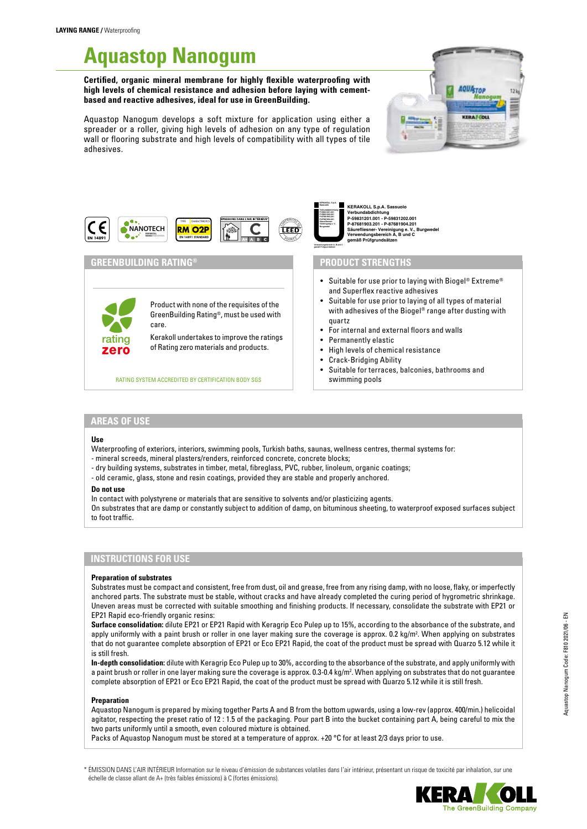# **Aquastop Nanogum**

**Certified, organic mineral membrane for highly flexible waterproofing with high levels of chemical resistance and adhesion before laying with cementbased and reactive adhesives, ideal for use in GreenBuilding.**

Aquastop Nanogum develops a soft mixture for application using either a spreader or a roller, giving high levels of adhesion on any type of regulation wall or flooring substrate and high levels of compatibility with all types of tile adhesives.





# **GREENBUILDING RATING® PRODUCT STRENGTHS**

Product with none of the requisites of the GreenBuilding Rating®, must be used with care.

Kerakoll undertakes to improve the ratings of Rating zero materials and products.

RATING SYSTEM ACCREDITED BY CERTIFICATION BODY SGS **state of a swimming pools** 

**KERAKOLL S.p.A. Sassuolo Verbundabdichtung P-59831201.001 P-59831202.001 P-87681903.201 P-87681904.201 Säurefliesner-**

> **Verwendungsbereich A, B und C gemäß Prüfgrundsätzen**

**KERAKOLL S.p.A. Sa**<br>Verbundebdiebtung **Verbundabdichtung P-59831201.001 - P-59831202.001 P-87681903.201 - P-87681904.201 Säurefliesner- Vereinigung e. V., Burgwedel**

- Suitable for use prior to laying with Biogel® Extreme® and Superflex reactive adhesives
- Suitable for use prior to laying of all types of material with adhesives of the Biogel® range after dusting with quartz
- For internal and external floors and walls
- Permanently elastic
- High levels of chemical resistance
- Crack-Bridging Ability
- Suitable for terraces, balconies, bathrooms and

# **AREAS OF USE**

zero rating

#### **Use**

Waterproofing of exteriors, interiors, swimming pools, Turkish baths, saunas, wellness centres, thermal systems for: - mineral screeds, mineral plasters/renders, reinforced concrete, concrete blocks;

- 
- dry building systems, substrates in timber, metal, fibreglass, PVC, rubber, linoleum, organic coatings; - old ceramic, glass, stone and resin coatings, provided they are stable and properly anchored.

#### **Do not use**

In contact with polystyrene or materials that are sensitive to solvents and/or plasticizing agents.

On substrates that are damp or constantly subject to addition of damp, on bituminous sheeting, to waterproof exposed surfaces subject to foot traffic.

# **INSTRUCTIONS FOR USE**

#### **Preparation of substrates**

Substrates must be compact and consistent, free from dust, oil and grease, free from any rising damp, with no loose, flaky, or imperfectly anchored parts. The substrate must be stable, without cracks and have already completed the curing period of hygrometric shrinkage. Uneven areas must be corrected with suitable smoothing and finishing products. If necessary, consolidate the substrate with EP21 or EP21 Rapid eco-friendly organic resins:

**Surface consolidation:** dilute EP21 or EP21 Rapid with Keragrip Eco Pulep up to 15%, according to the absorbance of the substrate, and apply uniformly with a paint brush or roller in one layer making sure the coverage is approx. 0.2 kg/m<sup>2</sup>. When applying on substrates that do not guarantee complete absorption of EP21 or Eco EP21 Rapid, the coat of the product must be spread with Quarzo 5.12 while it is still fresh.

**In-depth consolidation:** dilute with Keragrip Eco Pulep up to 30%, according to the absorbance of the substrate, and apply uniformly with a paint brush or roller in one layer making sure the coverage is approx. 0.3-0.4 kg/m<sup>2</sup>. When applying on substrates that do not guarantee complete absorption of EP21 or Eco EP21 Rapid, the coat of the product must be spread with Quarzo 5.12 while it is still fresh.

#### **Preparation**

Aquastop Nanogum is prepared by mixing together Parts A and B from the bottom upwards, using a low-rev (approx. 400/min.) helicoidal agitator, respecting the preset ratio of 12 : 1.5 of the packaging. Pour part B into the bucket containing part A, being careful to mix the two parts uniformly until a smooth, even coloured mixture is obtained.

Packs of Aquastop Nanogum must be stored at a temperature of approx. +20 °C for at least 2/3 days prior to use.

\* ÉMISSION DANS L'AIR INTÉRIEUR Information sur le niveau d'émission de substances volatiles dans l'air intérieur, présentant un risque de toxicité par inhalation, sur une échelle de classe allant de A+ (très faibles émissions) à C (fortes émissions).

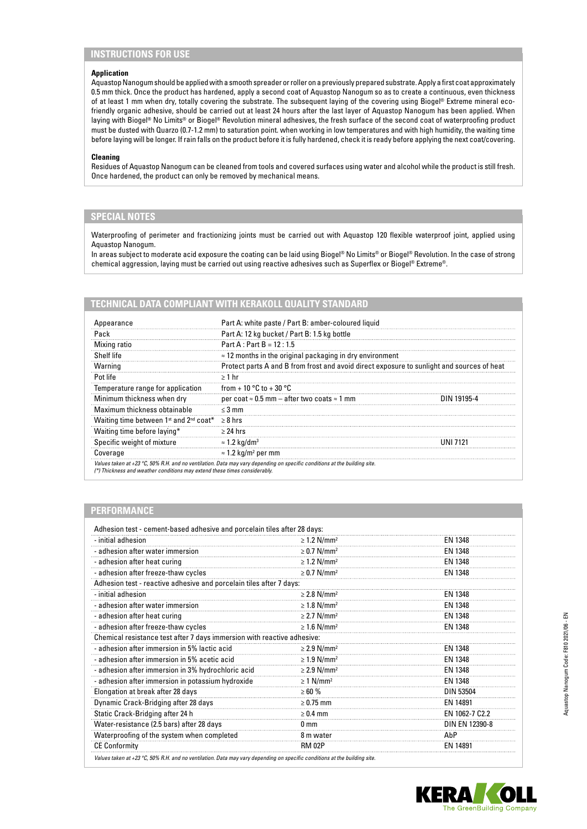# **INSTRUCTIONS FOR USE**

### **Application**

Aquastop Nanogum should be applied with a smooth spreader or roller on a previously prepared substrate. Apply a first coat approximately 0.5 mm thick. Once the product has hardened, apply a second coat of Aquastop Nanogum so as to create a continuous, even thickness of at least 1 mm when dry, totally covering the substrate. The subsequent laying of the covering using Biogel® Extreme mineral ecofriendly organic adhesive, should be carried out at least 24 hours after the last layer of Aquastop Nanogum has been applied. When laying with Biogel® No Limits® or Biogel® Revolution mineral adhesives, the fresh surface of the second coat of waterproofing product must be dusted with Quarzo (0.7-1.2 mm) to saturation point. when working in low temperatures and with high humidity, the waiting time before laying will be longer. If rain falls on the product before it is fully hardened, check it is ready before applying the next coat/covering.

#### **Cleaning**

Residues of Aquastop Nanogum can be cleaned from tools and covered surfaces using water and alcohol while the product is still fresh. Once hardened, the product can only be removed by mechanical means.

# **SPECIAL NOTES**

Waterproofing of perimeter and fractionizing joints must be carried out with Aquastop 120 flexible waterproof joint, applied using Aquastop Nanogum.

In areas subject to moderate acid exposure the coating can be laid using Biogel ® No Limits® or Biogel® Revolution. In the case of strong chemical aggression, laying must be carried out using reactive adhesives such as Superflex or Biogel® Extreme®.

#### **TECHNICAL DATA COMPLIANT WITH KERAKOLL QUALITY STANDARD**

| Appearance                                                                                                          | Part A: white paste / Part B: amber-coloured liquid                                                                                 |             |
|---------------------------------------------------------------------------------------------------------------------|-------------------------------------------------------------------------------------------------------------------------------------|-------------|
| Pack                                                                                                                | Part A: 12 kg bucket / Part B: 1.5 kg bottle                                                                                        |             |
| Mixing ratio                                                                                                        | Part A : Part B = $12:1.5$                                                                                                          |             |
| Shelf life                                                                                                          | $\approx$ 12 months in the original packaging in dry environment                                                                    |             |
| Warning                                                                                                             | Protect parts A and B from frost and avoid direct exposure to sunlight and sources of heat                                          |             |
| Pot life                                                                                                            | $\geq 1$ hr                                                                                                                         |             |
| Temperature range for application                                                                                   | from + 10 $^{\circ}$ C to + 30 $^{\circ}$ C                                                                                         |             |
| Minimum thickness when dry                                                                                          | per coat $\approx$ 0.5 mm – after two coats $\approx$ 1 mm                                                                          | DIN 19195-4 |
| Maximum thickness obtainable                                                                                        | $\leq$ 3 mm                                                                                                                         |             |
| Waiting time between 1 <sup>st</sup> and 2 <sup>nd</sup> coat <sup>*</sup> $\geq$ 8 hrs                             |                                                                                                                                     |             |
| Waiting time before laying*                                                                                         | $>$ 24 hrs                                                                                                                          |             |
|                                                                                                                     | $\approx$ 1.2 kg/dm <sup>3</sup>                                                                                                    | LINI 7121   |
|                                                                                                                     | $\approx$ 1.2 kg/m <sup>2</sup> per mm                                                                                              |             |
| Specific weight of mixture<br>Coverage<br>(*) Thickness and weather conditions may extend these times considerably. | Values taken at +23 $^{\circ}$ C, 50% R.H. and no ventilation. Data may vary depending on specific conditions at the building site. |             |

#### **PERFORMANCE**

| - initial adhesion                                                      | $\geq$ 1.2 N/mm <sup>2</sup> | <b>EN 1348</b>   |
|-------------------------------------------------------------------------|------------------------------|------------------|
| - adhesion after water immersion                                        | $\geq$ 0.7 N/mm <sup>2</sup> | EN 1348          |
| - adhesion after heat curing                                            | $\geq$ 1.2 N/mm <sup>2</sup> | EN 1348          |
| - adhesion after freeze-thaw cycles                                     | $\geq$ 0.7 N/mm <sup>2</sup> | <b>EN 1348</b>   |
| Adhesion test - reactive adhesive and porcelain tiles after 7 days:     |                              |                  |
| - initial adhesion                                                      | $\geq$ 2.8 N/mm <sup>2</sup> | <b>EN 1348</b>   |
| - adhesion after water immersion                                        | $\geq$ 1.8 N/mm <sup>2</sup> | EN 1348          |
| - adhesion after heat curing                                            | $\geq$ 2.7 N/mm <sup>2</sup> | EN 1348          |
| - adhesion after freeze-thaw cycles                                     | $\geq 1.6$ N/mm <sup>2</sup> | EN 1348          |
| Chemical resistance test after 7 days immersion with reactive adhesive: |                              |                  |
| - adhesion after immersion in 5% lactic acid                            | $\geq$ 2.9 N/mm <sup>2</sup> | <b>EN 1348</b>   |
| - adhesion after immersion in 5% acetic acid                            | $\geq 1.9$ N/mm <sup>2</sup> | EN 1348          |
| - adhesion after immersion in 3% hydrochloric acid                      | $\geq$ 2.9 N/mm <sup>2</sup> | EN 1348          |
| - adhesion after immersion in potassium hydroxide                       | $\geq 1$ N/mm <sup>2</sup>   | <b>EN 1348</b>   |
| Elongation at break after 28 days                                       | $\geq 60 \%$                 | <b>DIN 53504</b> |
| Dynamic Crack-Bridging after 28 days                                    | $\geq 0.75$ mm               | EN 14891         |
| Static Crack-Bridging after 24 h                                        | $\geq 0.4$ mm                | EN 1062-7 C2.2   |
| Water-resistance (2.5 bars) after 28 days                               | 0 mm                         | DIN EN 12390-8   |
| Waterproofing of the system when completed                              | 8 m water                    | AbP              |
| <b>CE Conformity</b>                                                    | <b>RM 02P</b>                | EN 14891         |